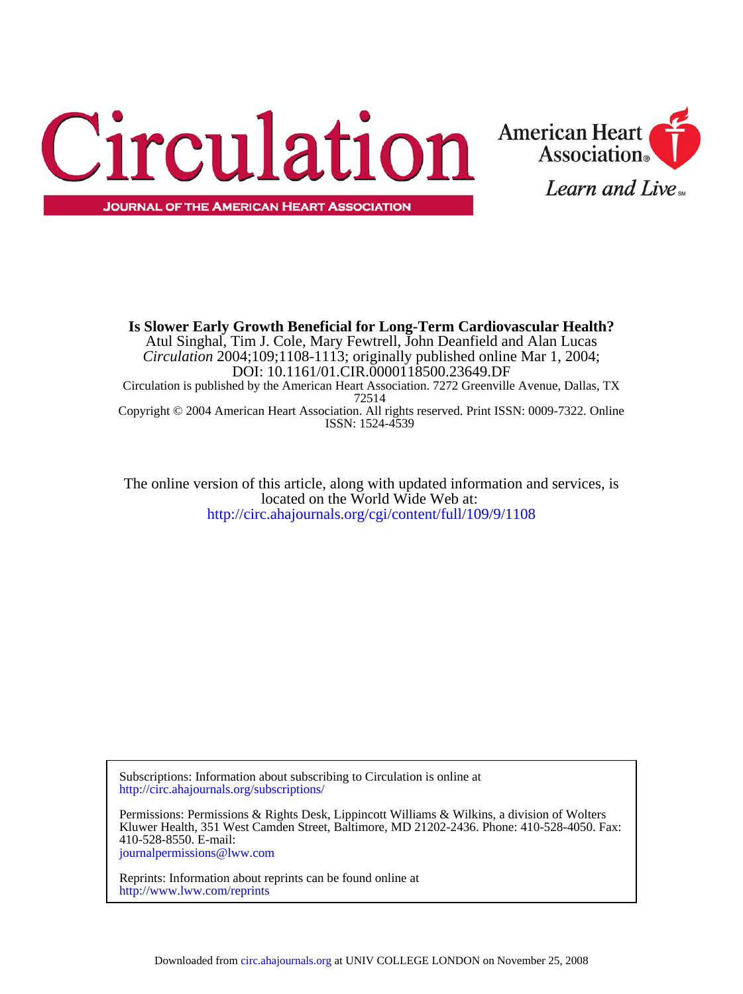



**JOURNAL OF THE AMERICAN HEART ASSOCIATION** 

ISSN: 1524-4539 Copyright © 2004 American Heart Association. All rights reserved. Print ISSN: 0009-7322. Online 72514 Circulation is published by the American Heart Association. 7272 Greenville Avenue, Dallas, TX DOI: 10.1161/01.CIR.0000118500.23649.DF *Circulation* 2004;109;1108-1113; originally published online Mar 1, 2004; Atul Singhal, Tim J. Cole, Mary Fewtrell, John Deanfield and Alan Lucas **Is Slower Early Growth Beneficial for Long-Term Cardiovascular Health?**

<http://circ.ahajournals.org/cgi/content/full/109/9/1108> located on the World Wide Web at: The online version of this article, along with updated information and services, is

<http://circ.ahajournals.org/subscriptions/> Subscriptions: Information about subscribing to Circulation is online at

[journalpermissions@lww.com](mailto:journalpermissions@lww.com) 410-528-8550. E-mail: Kluwer Health, 351 West Camden Street, Baltimore, MD 21202-2436. Phone: 410-528-4050. Fax: Permissions: Permissions & Rights Desk, Lippincott Williams & Wilkins, a division of Wolters

<http://www.lww.com/reprints> Reprints: Information about reprints can be found online at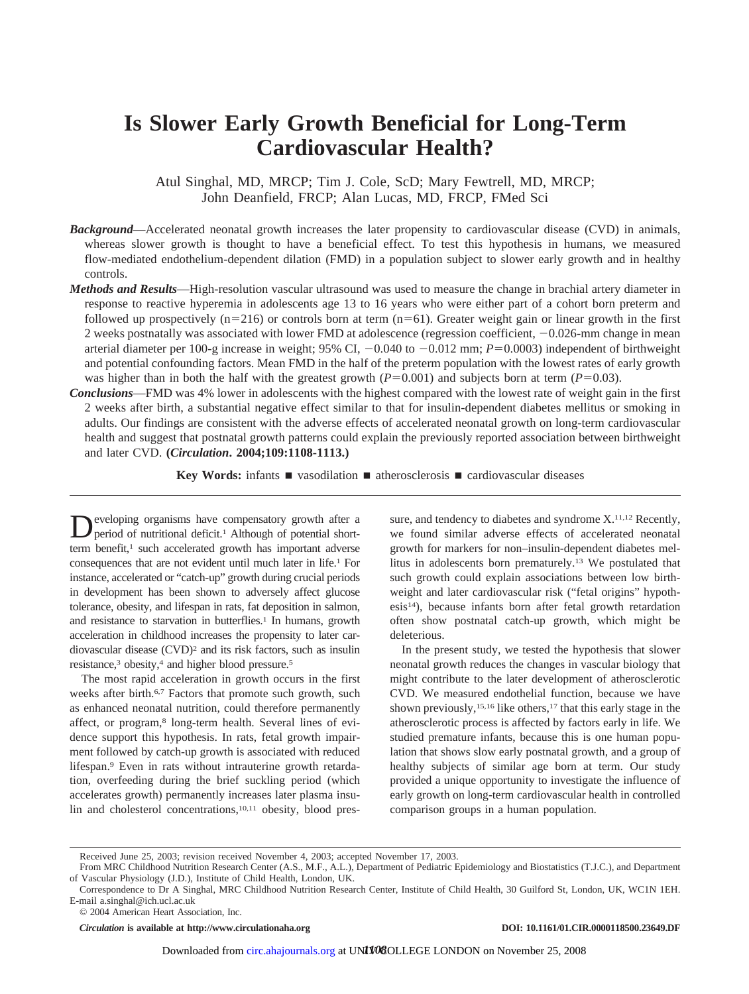# **Is Slower Early Growth Beneficial for Long-Term Cardiovascular Health?**

Atul Singhal, MD, MRCP; Tim J. Cole, ScD; Mary Fewtrell, MD, MRCP; John Deanfield, FRCP; Alan Lucas, MD, FRCP, FMed Sci

- *Background*—Accelerated neonatal growth increases the later propensity to cardiovascular disease (CVD) in animals, whereas slower growth is thought to have a beneficial effect. To test this hypothesis in humans, we measured flow-mediated endothelium-dependent dilation (FMD) in a population subject to slower early growth and in healthy controls.
- *Methods and Results*—High-resolution vascular ultrasound was used to measure the change in brachial artery diameter in response to reactive hyperemia in adolescents age 13 to 16 years who were either part of a cohort born preterm and followed up prospectively  $(n=216)$  or controls born at term  $(n=61)$ . Greater weight gain or linear growth in the first 2 weeks postnatally was associated with lower FMD at adolescence (regression coefficient,  $-0.026$ -mm change in mean arterial diameter per 100-g increase in weight;  $95\%$  CI,  $-0.040$  to  $-0.012$  mm;  $P=0.0003$ ) independent of birthweight and potential confounding factors. Mean FMD in the half of the preterm population with the lowest rates of early growth was higher than in both the half with the greatest growth  $(P=0.001)$  and subjects born at term  $(P=0.03)$ .
- *Conclusions*—FMD was 4% lower in adolescents with the highest compared with the lowest rate of weight gain in the first 2 weeks after birth, a substantial negative effect similar to that for insulin-dependent diabetes mellitus or smoking in adults. Our findings are consistent with the adverse effects of accelerated neonatal growth on long-term cardiovascular health and suggest that postnatal growth patterns could explain the previously reported association between birthweight and later CVD. **(***Circulation***. 2004;109:1108-1113.)**

**Key Words:** infants ■ vasodilation ■ atherosclerosis ■ cardiovascular diseases

Developing organisms have compensatory growth after a period of nutritional deficit.<sup>1</sup> Although of potential shortterm benefit,<sup>1</sup> such accelerated growth has important adverse consequences that are not evident until much later in life.1 For instance, accelerated or "catch-up" growth during crucial periods in development has been shown to adversely affect glucose tolerance, obesity, and lifespan in rats, fat deposition in salmon, and resistance to starvation in butterflies.<sup>1</sup> In humans, growth acceleration in childhood increases the propensity to later cardiovascular disease (CVD)2 and its risk factors, such as insulin resistance,3 obesity,4 and higher blood pressure.5

The most rapid acceleration in growth occurs in the first weeks after birth.<sup>6,7</sup> Factors that promote such growth, such as enhanced neonatal nutrition, could therefore permanently affect, or program,<sup>8</sup> long-term health. Several lines of evidence support this hypothesis. In rats, fetal growth impairment followed by catch-up growth is associated with reduced lifespan.9 Even in rats without intrauterine growth retardation, overfeeding during the brief suckling period (which accelerates growth) permanently increases later plasma insulin and cholesterol concentrations,<sup>10,11</sup> obesity, blood pres-

sure, and tendency to diabetes and syndrome  $X$ <sup>11,12</sup> Recently, we found similar adverse effects of accelerated neonatal growth for markers for non–insulin-dependent diabetes mellitus in adolescents born prematurely.13 We postulated that such growth could explain associations between low birthweight and later cardiovascular risk ("fetal origins" hypothesis14), because infants born after fetal growth retardation often show postnatal catch-up growth, which might be deleterious.

In the present study, we tested the hypothesis that slower neonatal growth reduces the changes in vascular biology that might contribute to the later development of atherosclerotic CVD. We measured endothelial function, because we have shown previously,<sup>15,16</sup> like others,<sup>17</sup> that this early stage in the atherosclerotic process is affected by factors early in life. We studied premature infants, because this is one human population that shows slow early postnatal growth, and a group of healthy subjects of similar age born at term. Our study provided a unique opportunity to investigate the influence of early growth on long-term cardiovascular health in controlled comparison groups in a human population.

© 2004 American Heart Association, Inc.

*Circulation* is available at http://www.circulationaha.org DOI: 10.1161/01.CIR.0000118500.23649.DF

Received June 25, 2003; revision received November 4, 2003; accepted November 17, 2003.

From MRC Childhood Nutrition Research Center (A.S., M.F., A.L.), Department of Pediatric Epidemiology and Biostatistics (T.J.C.), and Department of Vascular Physiology (J.D.), Institute of Child Health, London, UK.

Correspondence to Dr A Singhal, MRC Childhood Nutrition Research Center, Institute of Child Health, 30 Guilford St, London, UK, WC1N 1EH. E-mail a.singhal@ich.ucl.ac.uk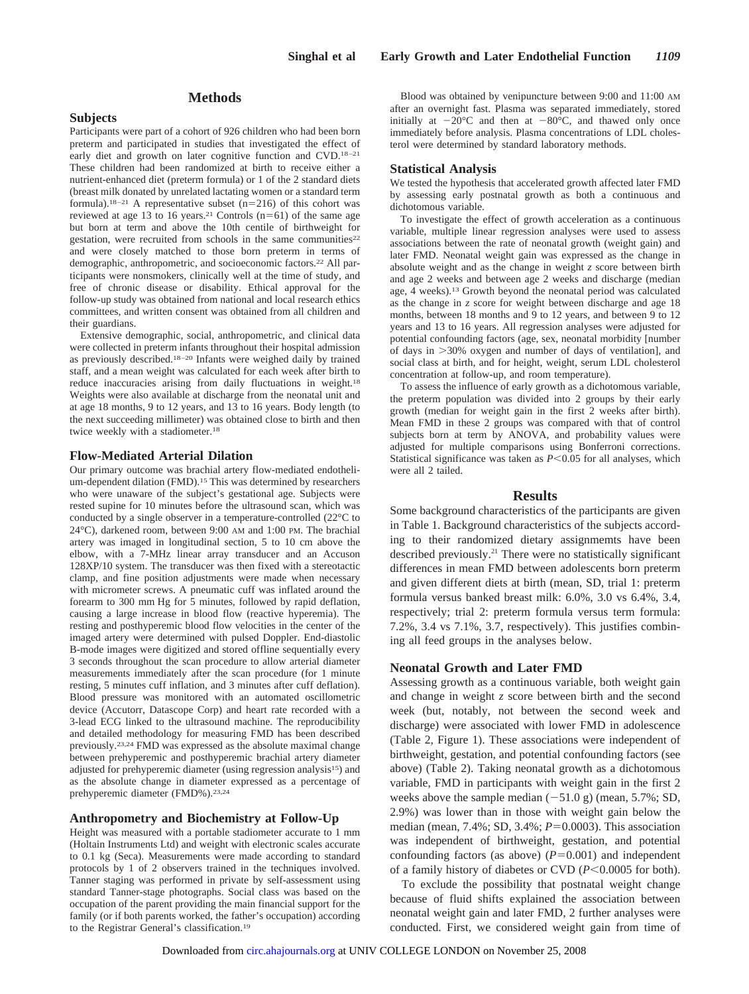# **Methods**

### **Subjects**

Participants were part of a cohort of 926 children who had been born preterm and participated in studies that investigated the effect of early diet and growth on later cognitive function and CVD.18–21 These children had been randomized at birth to receive either a nutrient-enhanced diet (preterm formula) or 1 of the 2 standard diets (breast milk donated by unrelated lactating women or a standard term formula).<sup>18-21</sup> A representative subset (n=216) of this cohort was reviewed at age 13 to 16 years.<sup>21</sup> Controls ( $n=61$ ) of the same age but born at term and above the 10th centile of birthweight for gestation, were recruited from schools in the same communities<sup>22</sup> and were closely matched to those born preterm in terms of demographic, anthropometric, and socioeconomic factors.22 All participants were nonsmokers, clinically well at the time of study, and free of chronic disease or disability. Ethical approval for the follow-up study was obtained from national and local research ethics committees, and written consent was obtained from all children and their guardians.

Extensive demographic, social, anthropometric, and clinical data were collected in preterm infants throughout their hospital admission as previously described.18–20 Infants were weighed daily by trained staff, and a mean weight was calculated for each week after birth to reduce inaccuracies arising from daily fluctuations in weight.18 Weights were also available at discharge from the neonatal unit and at age 18 months, 9 to 12 years, and 13 to 16 years. Body length (to the next succeeding millimeter) was obtained close to birth and then twice weekly with a stadiometer.<sup>18</sup>

#### **Flow-Mediated Arterial Dilation**

Our primary outcome was brachial artery flow-mediated endothelium-dependent dilation (FMD).<sup>15</sup> This was determined by researchers who were unaware of the subject's gestational age. Subjects were rested supine for 10 minutes before the ultrasound scan, which was conducted by a single observer in a temperature-controlled (22°C to 24°C), darkened room, between 9:00 AM and 1:00 PM. The brachial artery was imaged in longitudinal section, 5 to 10 cm above the elbow, with a 7-MHz linear array transducer and an Accuson 128XP/10 system. The transducer was then fixed with a stereotactic clamp, and fine position adjustments were made when necessary with micrometer screws. A pneumatic cuff was inflated around the forearm to 300 mm Hg for 5 minutes, followed by rapid deflation, causing a large increase in blood flow (reactive hyperemia). The resting and posthyperemic blood flow velocities in the center of the imaged artery were determined with pulsed Doppler. End-diastolic B-mode images were digitized and stored offline sequentially every 3 seconds throughout the scan procedure to allow arterial diameter measurements immediately after the scan procedure (for 1 minute resting, 5 minutes cuff inflation, and 3 minutes after cuff deflation). Blood pressure was monitored with an automated oscillometric device (Accutorr, Datascope Corp) and heart rate recorded with a 3-lead ECG linked to the ultrasound machine. The reproducibility and detailed methodology for measuring FMD has been described previously.23,24 FMD was expressed as the absolute maximal change between prehyperemic and posthyperemic brachial artery diameter adjusted for prehyperemic diameter (using regression analysis15) and as the absolute change in diameter expressed as a percentage of prehyperemic diameter (FMD%).23,24

#### **Anthropometry and Biochemistry at Follow-Up**

Height was measured with a portable stadiometer accurate to 1 mm (Holtain Instruments Ltd) and weight with electronic scales accurate to 0.1 kg (Seca). Measurements were made according to standard protocols by 1 of 2 observers trained in the techniques involved. Tanner staging was performed in private by self-assessment using standard Tanner-stage photographs. Social class was based on the occupation of the parent providing the main financial support for the family (or if both parents worked, the father's occupation) according to the Registrar General's classification.19

Blood was obtained by venipuncture between 9:00 and 11:00 AM after an overnight fast. Plasma was separated immediately, stored initially at  $-20^{\circ}$ C and then at  $-80^{\circ}$ C, and thawed only once immediately before analysis. Plasma concentrations of LDL cholesterol were determined by standard laboratory methods.

#### **Statistical Analysis**

We tested the hypothesis that accelerated growth affected later FMD by assessing early postnatal growth as both a continuous and dichotomous variable.

To investigate the effect of growth acceleration as a continuous variable, multiple linear regression analyses were used to assess associations between the rate of neonatal growth (weight gain) and later FMD. Neonatal weight gain was expressed as the change in absolute weight and as the change in weight *z* score between birth and age 2 weeks and between age 2 weeks and discharge (median age, 4 weeks).13 Growth beyond the neonatal period was calculated as the change in *z* score for weight between discharge and age 18 months, between 18 months and 9 to 12 years, and between 9 to 12 years and 13 to 16 years. All regression analyses were adjusted for potential confounding factors (age, sex, neonatal morbidity [number of days in 30% oxygen and number of days of ventilation], and social class at birth, and for height, weight, serum LDL cholesterol concentration at follow-up, and room temperature).

To assess the influence of early growth as a dichotomous variable, the preterm population was divided into 2 groups by their early growth (median for weight gain in the first 2 weeks after birth). Mean FMD in these 2 groups was compared with that of control subjects born at term by ANOVA, and probability values were adjusted for multiple comparisons using Bonferroni corrections. Statistical significance was taken as  $P<0.05$  for all analyses, which were all 2 tailed.

# **Results**

Some background characteristics of the participants are given in Table 1. Background characteristics of the subjects according to their randomized dietary assignmemts have been described previously.<sup>21</sup> There were no statistically significant differences in mean FMD between adolescents born preterm and given different diets at birth (mean, SD, trial 1: preterm formula versus banked breast milk: 6.0%, 3.0 vs 6.4%, 3.4, respectively; trial 2: preterm formula versus term formula: 7.2%, 3.4 vs 7.1%, 3.7, respectively). This justifies combining all feed groups in the analyses below.

## **Neonatal Growth and Later FMD**

Assessing growth as a continuous variable, both weight gain and change in weight *z* score between birth and the second week (but, notably, not between the second week and discharge) were associated with lower FMD in adolescence (Table 2, Figure 1). These associations were independent of birthweight, gestation, and potential confounding factors (see above) (Table 2). Taking neonatal growth as a dichotomous variable, FMD in participants with weight gain in the first 2 weeks above the sample median  $(-51.0 \text{ g})$  (mean,  $5.7\%$ ; SD, 2.9%) was lower than in those with weight gain below the median (mean, 7.4%; SD, 3.4%;  $P=0.0003$ ). This association was independent of birthweight, gestation, and potential confounding factors (as above)  $(P=0.001)$  and independent of a family history of diabetes or CVD  $(P<0.0005$  for both).

To exclude the possibility that postnatal weight change because of fluid shifts explained the association between neonatal weight gain and later FMD, 2 further analyses were conducted. First, we considered weight gain from time of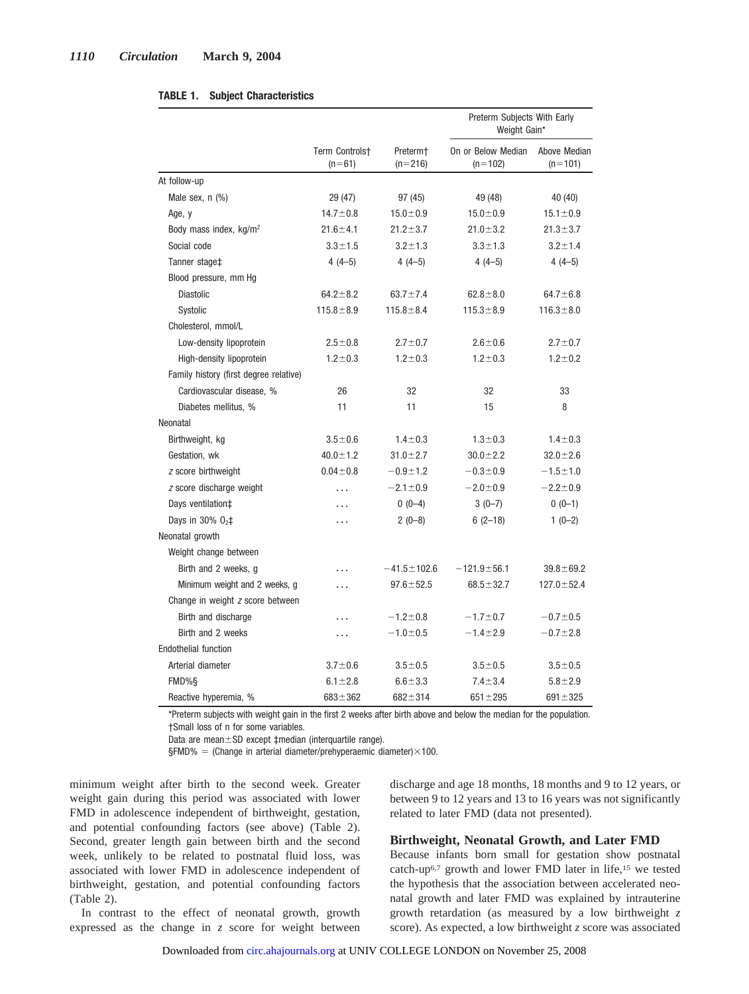|                                        |                            |                                   | Preterm Subjects With Early<br>Weight Gain* |                           |  |  |
|----------------------------------------|----------------------------|-----------------------------------|---------------------------------------------|---------------------------|--|--|
|                                        | Term Controlst<br>$(n=61)$ | Preterm <sup>+</sup><br>$(n=216)$ | On or Below Median<br>$(n=102)$             | Above Median<br>$(n=101)$ |  |  |
| At follow-up                           |                            |                                   |                                             |                           |  |  |
| Male sex, $n$ $(\%)$                   | 29 (47)                    | 97 (45)                           | 49 (48)                                     | 40 (40)                   |  |  |
| Age, y                                 | $14.7 \pm 0.8$             | $15.0 \pm 0.9$                    | $15.0 \pm 0.9$                              | $15.1 \pm 0.9$            |  |  |
| Body mass index, $kg/m2$               | $21.6 \pm 4.1$             | $21.2 \pm 3.7$                    | $21.0 \pm 3.2$                              | $21.3 \pm 3.7$            |  |  |
| Social code                            | $3.3 + 1.5$                | $3.2 \pm 1.3$                     | $3.3 \pm 1.3$                               | $3.2 \pm 1.4$             |  |  |
| Tanner stage <sup>+</sup>              | $4(4-5)$                   | $4(4-5)$                          | $4(4-5)$                                    | $4(4-5)$                  |  |  |
| Blood pressure, mm Hg                  |                            |                                   |                                             |                           |  |  |
| <b>Diastolic</b>                       | $64.2 \pm 8.2$             | $63.7 \pm 7.4$                    | $62.8 + 8.0$                                | $64.7 \pm 6.8$            |  |  |
| Systolic                               | $115.8 \pm 8.9$            | $115.8 \pm 8.4$                   | $115.3 \pm 8.9$                             | $116.3 \pm 8.0$           |  |  |
| Cholesterol, mmol/L                    |                            |                                   |                                             |                           |  |  |
| Low-density lipoprotein                | $2.5 \pm 0.8$              | $2.7 \pm 0.7$                     | $2.6 \pm 0.6$                               | $2.7 \pm 0.7$             |  |  |
| High-density lipoprotein               | $1.2 \pm 0.3$              | $1.2 \pm 0.3$                     | $1.2 \pm 0.3$                               | $1.2 \pm 0.2$             |  |  |
| Family history (first degree relative) |                            |                                   |                                             |                           |  |  |
| Cardiovascular disease, %              | 26                         | 32                                | 32                                          | 33                        |  |  |
| Diabetes mellitus, %                   | 11                         | 11                                | 15                                          | 8                         |  |  |
| Neonatal                               |                            |                                   |                                             |                           |  |  |
| Birthweight, kg                        | $3.5 - 0.6$                | $1.4 \pm 0.3$                     | $1.3 \pm 0.3$                               | $1.4 \pm 0.3$             |  |  |
| Gestation, wk                          | $40.0 \pm 1.2$             | $31.0 \pm 2.7$                    | $30.0 + 2.2$                                | $32.0 \pm 2.6$            |  |  |
| z score birthweight                    | $0.04 \pm 0.8$             | $-0.9 \pm 1.2$                    | $-0.3 + 0.9$                                | $-1.5 + 1.0$              |  |  |
| z score discharge weight               | .                          | $-2.1 \pm 0.9$                    | $-2.0 \pm 0.9$                              | $-2.2 \pm 0.9$            |  |  |
| Days ventilation‡                      | .                          | $0(0-4)$                          | $3(0-7)$                                    | $0(0-1)$                  |  |  |
| Days in 30% $02$ ‡                     | .                          | $2(0-8)$                          | $6(2-18)$                                   | $1(0-2)$                  |  |  |
| Neonatal growth                        |                            |                                   |                                             |                           |  |  |
| Weight change between                  |                            |                                   |                                             |                           |  |  |
| Birth and 2 weeks, g                   |                            | $-41.5 \pm 102.6$                 | $-121.9 \pm 56.1$                           | $39.8 \pm 69.2$           |  |  |
| Minimum weight and 2 weeks, g          | .                          | $97.6 \pm 52.5$                   | $68.5 \pm 32.7$                             | $127.0 \pm 52.4$          |  |  |
| Change in weight z score between       |                            |                                   |                                             |                           |  |  |
| Birth and discharge                    |                            | $-1.2 \pm 0.8$                    | $-1.7 \pm 0.7$                              | $-0.7 + 0.5$              |  |  |
| Birth and 2 weeks                      | .                          | $-1.0 + 0.5$                      | $-1.4 \pm 2.9$                              | $-0.7 + 2.8$              |  |  |
| Endothelial function                   |                            |                                   |                                             |                           |  |  |
| Arterial diameter                      | $3.7 + 0.6$                | $3.5 + 0.5$                       | $3.5 + 0.5$                                 | $3.5 + 0.5$               |  |  |
| FMD%§                                  | $6.1 \pm 2.8$              | $6.6 + 3.3$                       | $7.4 \pm 3.4$                               | $5.8 + 2.9$               |  |  |
| Reactive hyperemia, %                  | $683 \pm 362$              | $682 + 314$                       | $651 \pm 295$                               | $691 \pm 325$             |  |  |

# **TABLE 1. Subject Characteristics**

\*Preterm subjects with weight gain in the first 2 weeks after birth above and below the median for the population. †Small loss of n for some variables.

Data are mean $\pm$ SD except  $\pm$ median (interquartile range).

 $$FMD% = (Change in arterial diameter/prehyperaemic diameter)\times100.$ 

minimum weight after birth to the second week. Greater weight gain during this period was associated with lower FMD in adolescence independent of birthweight, gestation, and potential confounding factors (see above) (Table 2). Second, greater length gain between birth and the second week, unlikely to be related to postnatal fluid loss, was associated with lower FMD in adolescence independent of birthweight, gestation, and potential confounding factors (Table 2).

In contrast to the effect of neonatal growth, growth expressed as the change in *z* score for weight between discharge and age 18 months, 18 months and 9 to 12 years, or between 9 to 12 years and 13 to 16 years was not significantly related to later FMD (data not presented).

# **Birthweight, Neonatal Growth, and Later FMD**

Because infants born small for gestation show postnatal catch-up6,7 growth and lower FMD later in life,15 we tested the hypothesis that the association between accelerated neonatal growth and later FMD was explained by intrauterine growth retardation (as measured by a low birthweight *z* score). As expected, a low birthweight *z* score was associated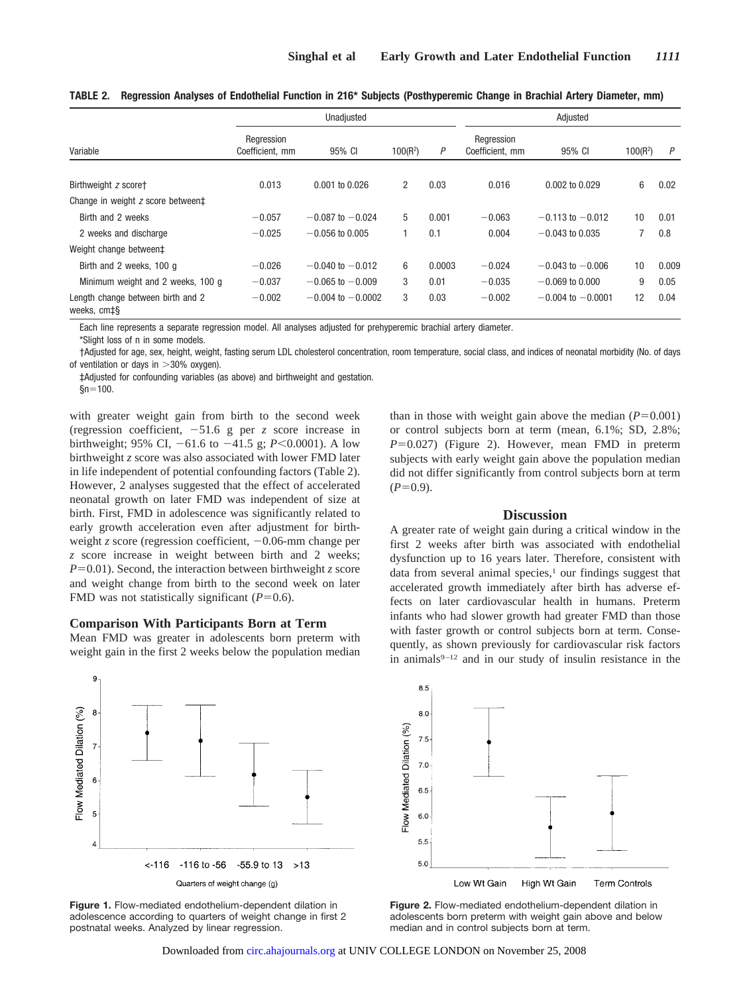|                                                  | Unadjusted                    |                       |            |        | Adjusted                      |                       |            |       |
|--------------------------------------------------|-------------------------------|-----------------------|------------|--------|-------------------------------|-----------------------|------------|-------|
| Variable                                         | Regression<br>Coefficient, mm | 95% CI                | $100(R^2)$ | P      | Regression<br>Coefficient, mm | 95% CI                | $100(R^2)$ | P     |
| Birthweight z scoret                             | 0.013                         | $0.001$ to $0.026$    | 2          | 0.03   | 0.016                         | $0.002$ to $0.029$    | 6          | 0.02  |
| Change in weight z score between‡                |                               |                       |            |        |                               |                       |            |       |
| Birth and 2 weeks                                | $-0.057$                      | $-0.087$ to $-0.024$  | 5          | 0.001  | $-0.063$                      | $-0.113$ to $-0.012$  | 10         | 0.01  |
| 2 weeks and discharge                            | $-0.025$                      | $-0.056$ to 0.005     |            | 0.1    | 0.004                         | $-0.043$ to 0.035     | 7          | 0.8   |
| Weight change between‡                           |                               |                       |            |        |                               |                       |            |       |
| Birth and 2 weeks, 100 q                         | $-0.026$                      | $-0.040$ to $-0.012$  | 6          | 0.0003 | $-0.024$                      | $-0.043$ to $-0.006$  | 10         | 0.009 |
| Minimum weight and 2 weeks, 100 g                | $-0.037$                      | $-0.065$ to $-0.009$  | 3          | 0.01   | $-0.035$                      | $-0.069$ to 0.000     | 9          | 0.05  |
| Length change between birth and 2<br>weeks, cm‡§ | $-0.002$                      | $-0.004$ to $-0.0002$ | 3          | 0.03   | $-0.002$                      | $-0.004$ to $-0.0001$ | 12         | 0.04  |

**TABLE 2. Regression Analyses of Endothelial Function in 216\* Subjects (Posthyperemic Change in Brachial Artery Diameter, mm)**

Each line represents a separate regression model. All analyses adjusted for prehyperemic brachial artery diameter. \*Slight loss of n in some models.

†Adjusted for age, sex, height, weight, fasting serum LDL cholesterol concentration, room temperature, social class, and indices of neonatal morbidity (No. of days of ventilation or days in  $>$ 30% oxygen).

‡Adjusted for confounding variables (as above) and birthweight and gestation.  $$n=100$ .

with greater weight gain from birth to the second week (regression coefficient,  $-51.6$  g per *z* score increase in birthweight; 95% CI,  $-61.6$  to  $-41.5$  g;  $P<0.0001$ ). A low birthweight *z* score was also associated with lower FMD later in life independent of potential confounding factors (Table 2). However, 2 analyses suggested that the effect of accelerated neonatal growth on later FMD was independent of size at birth. First, FMD in adolescence was significantly related to early growth acceleration even after adjustment for birthweight *z* score (regression coefficient,  $-0.06$ -mm change per *z* score increase in weight between birth and 2 weeks;  $P=0.01$ ). Second, the interaction between birthweight *z* score and weight change from birth to the second week on later FMD was not statistically significant  $(P=0.6)$ .

# **Comparison With Participants Born at Term**

Mean FMD was greater in adolescents born preterm with weight gain in the first 2 weeks below the population median

than in those with weight gain above the median  $(P=0.001)$ or control subjects born at term (mean, 6.1%; SD, 2.8%;  $P=0.027$ ) (Figure 2). However, mean FMD in preterm subjects with early weight gain above the population median did not differ significantly from control subjects born at term  $(P=0.9)$ .

### **Discussion**

A greater rate of weight gain during a critical window in the first 2 weeks after birth was associated with endothelial dysfunction up to 16 years later. Therefore, consistent with data from several animal species, $\frac{1}{1}$  our findings suggest that accelerated growth immediately after birth has adverse effects on later cardiovascular health in humans. Preterm infants who had slower growth had greater FMD than those with faster growth or control subjects born at term. Consequently, as shown previously for cardiovascular risk factors in animals $9-12$  and in our study of insulin resistance in the



**Figure 1.** Flow-mediated endothelium-dependent dilation in adolescence according to quarters of weight change in first 2 postnatal weeks. Analyzed by linear regression.



**Figure 2.** Flow-mediated endothelium-dependent dilation in adolescents born preterm with weight gain above and below median and in control subjects born at term.

Downloaded from [circ.ahajournals.org](http://circ.ahajournals.org) at UNIV COLLEGE LONDON on November 25, 2008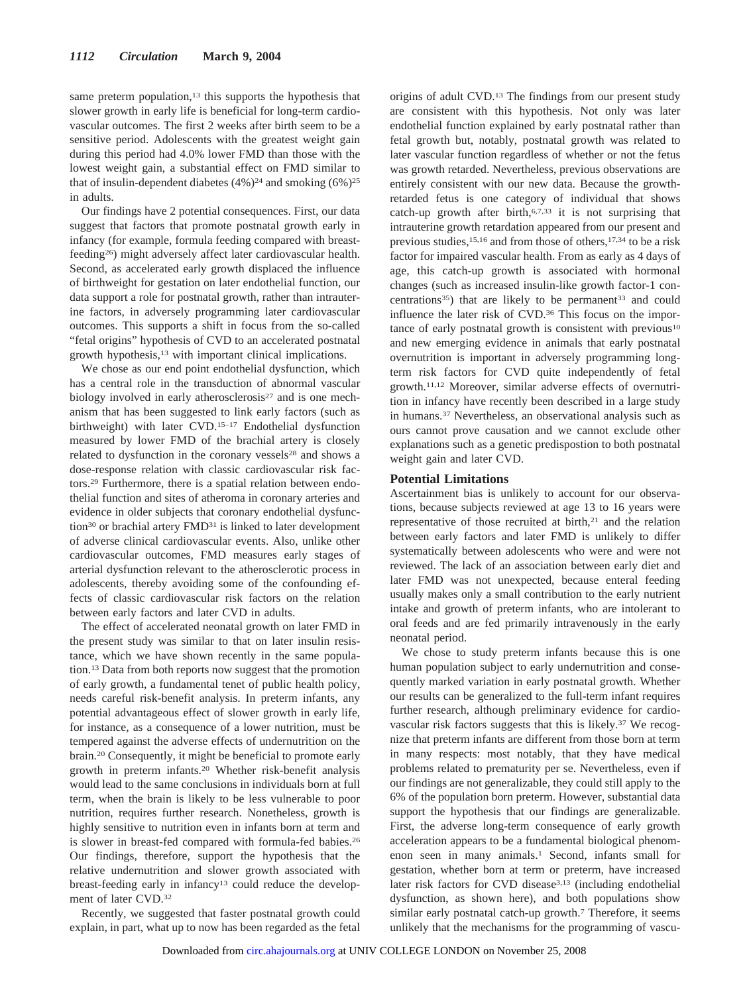same preterm population,<sup>13</sup> this supports the hypothesis that slower growth in early life is beneficial for long-term cardiovascular outcomes. The first 2 weeks after birth seem to be a sensitive period. Adolescents with the greatest weight gain during this period had 4.0% lower FMD than those with the lowest weight gain, a substantial effect on FMD similar to that of insulin-dependent diabetes  $(4\%)^{24}$  and smoking  $(6\%)^{25}$ in adults.

Our findings have 2 potential consequences. First, our data suggest that factors that promote postnatal growth early in infancy (for example, formula feeding compared with breastfeeding26) might adversely affect later cardiovascular health. Second, as accelerated early growth displaced the influence of birthweight for gestation on later endothelial function, our data support a role for postnatal growth, rather than intrauterine factors, in adversely programming later cardiovascular outcomes. This supports a shift in focus from the so-called "fetal origins" hypothesis of CVD to an accelerated postnatal growth hypothesis,13 with important clinical implications.

We chose as our end point endothelial dysfunction, which has a central role in the transduction of abnormal vascular biology involved in early atherosclerosis<sup>27</sup> and is one mechanism that has been suggested to link early factors (such as birthweight) with later CVD.15–17 Endothelial dysfunction measured by lower FMD of the brachial artery is closely related to dysfunction in the coronary vessels<sup>28</sup> and shows a dose-response relation with classic cardiovascular risk factors.29 Furthermore, there is a spatial relation between endothelial function and sites of atheroma in coronary arteries and evidence in older subjects that coronary endothelial dysfunction<sup>30</sup> or brachial artery FMD<sup>31</sup> is linked to later development of adverse clinical cardiovascular events. Also, unlike other cardiovascular outcomes, FMD measures early stages of arterial dysfunction relevant to the atherosclerotic process in adolescents, thereby avoiding some of the confounding effects of classic cardiovascular risk factors on the relation between early factors and later CVD in adults.

The effect of accelerated neonatal growth on later FMD in the present study was similar to that on later insulin resistance, which we have shown recently in the same population.13 Data from both reports now suggest that the promotion of early growth, a fundamental tenet of public health policy, needs careful risk-benefit analysis. In preterm infants, any potential advantageous effect of slower growth in early life, for instance, as a consequence of a lower nutrition, must be tempered against the adverse effects of undernutrition on the brain.20 Consequently, it might be beneficial to promote early growth in preterm infants.20 Whether risk-benefit analysis would lead to the same conclusions in individuals born at full term, when the brain is likely to be less vulnerable to poor nutrition, requires further research. Nonetheless, growth is highly sensitive to nutrition even in infants born at term and is slower in breast-fed compared with formula-fed babies.<sup>26</sup> Our findings, therefore, support the hypothesis that the relative undernutrition and slower growth associated with breast-feeding early in infancy<sup>13</sup> could reduce the development of later CVD.32

Recently, we suggested that faster postnatal growth could explain, in part, what up to now has been regarded as the fetal origins of adult CVD.13 The findings from our present study are consistent with this hypothesis. Not only was later endothelial function explained by early postnatal rather than fetal growth but, notably, postnatal growth was related to later vascular function regardless of whether or not the fetus was growth retarded. Nevertheless, previous observations are entirely consistent with our new data. Because the growthretarded fetus is one category of individual that shows catch-up growth after birth, $6,7,33$  it is not surprising that intrauterine growth retardation appeared from our present and previous studies,<sup>15,16</sup> and from those of others,<sup>17,34</sup> to be a risk factor for impaired vascular health. From as early as 4 days of age, this catch-up growth is associated with hormonal changes (such as increased insulin-like growth factor-1 concentrations<sup>35</sup>) that are likely to be permanent<sup>33</sup> and could influence the later risk of CVD.<sup>36</sup> This focus on the importance of early postnatal growth is consistent with previous $10$ and new emerging evidence in animals that early postnatal overnutrition is important in adversely programming longterm risk factors for CVD quite independently of fetal growth.11,12 Moreover, similar adverse effects of overnutrition in infancy have recently been described in a large study in humans.37 Nevertheless, an observational analysis such as ours cannot prove causation and we cannot exclude other explanations such as a genetic predispostion to both postnatal weight gain and later CVD.

# **Potential Limitations**

Ascertainment bias is unlikely to account for our observations, because subjects reviewed at age 13 to 16 years were representative of those recruited at birth,<sup>21</sup> and the relation between early factors and later FMD is unlikely to differ systematically between adolescents who were and were not reviewed. The lack of an association between early diet and later FMD was not unexpected, because enteral feeding usually makes only a small contribution to the early nutrient intake and growth of preterm infants, who are intolerant to oral feeds and are fed primarily intravenously in the early neonatal period.

We chose to study preterm infants because this is one human population subject to early undernutrition and consequently marked variation in early postnatal growth. Whether our results can be generalized to the full-term infant requires further research, although preliminary evidence for cardiovascular risk factors suggests that this is likely.<sup>37</sup> We recognize that preterm infants are different from those born at term in many respects: most notably, that they have medical problems related to prematurity per se. Nevertheless, even if our findings are not generalizable, they could still apply to the 6% of the population born preterm. However, substantial data support the hypothesis that our findings are generalizable. First, the adverse long-term consequence of early growth acceleration appears to be a fundamental biological phenomenon seen in many animals.1 Second, infants small for gestation, whether born at term or preterm, have increased later risk factors for CVD disease<sup>3,13</sup> (including endothelial dysfunction, as shown here), and both populations show similar early postnatal catch-up growth.<sup>7</sup> Therefore, it seems unlikely that the mechanisms for the programming of vascu